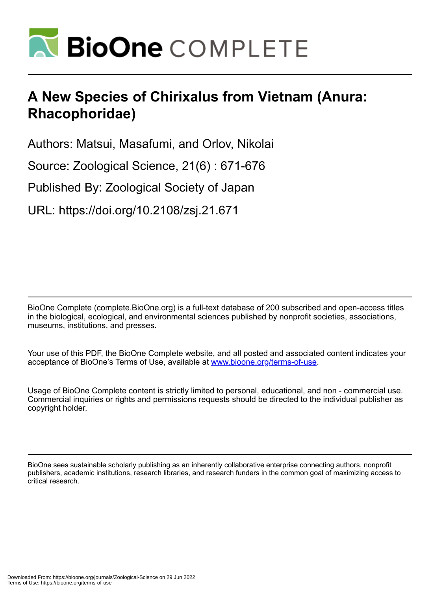

# **A New Species of Chirixalus from Vietnam (Anura: Rhacophoridae)**

Authors: Matsui, Masafumi, and Orlov, Nikolai

Source: Zoological Science, 21(6) : 671-676

Published By: Zoological Society of Japan

URL: https://doi.org/10.2108/zsj.21.671

BioOne Complete (complete.BioOne.org) is a full-text database of 200 subscribed and open-access titles in the biological, ecological, and environmental sciences published by nonprofit societies, associations, museums, institutions, and presses.

Your use of this PDF, the BioOne Complete website, and all posted and associated content indicates your acceptance of BioOne's Terms of Use, available at www.bioone.org/terms-of-use.

Usage of BioOne Complete content is strictly limited to personal, educational, and non - commercial use. Commercial inquiries or rights and permissions requests should be directed to the individual publisher as copyright holder.

BioOne sees sustainable scholarly publishing as an inherently collaborative enterprise connecting authors, nonprofit publishers, academic institutions, research libraries, and research funders in the common goal of maximizing access to critical research.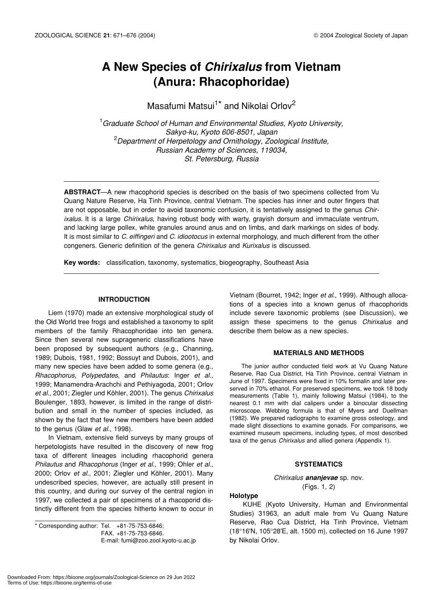# **A New Species of** *Chirixalus* **from Vietnam (Anura: Rhacophoridae)**

Masafumi Matsui<sup>1\*</sup> and Nikolai Orlov<sup>2</sup>

1 *Graduate School of Human and Environmental Studies, Kyoto University, Sakyo-ku, Kyoto 606-8501, Japan* 2 *Department of Herpetology and Ornithology, Zoological Institute, Russian Academy of Sciences, 119034, St. Petersburg, Russia*

**ABSTRACT**—A new rhacophorid species is described on the basis of two specimens collected from Vu Quang Nature Reserve, Ha Tinh Province, central Vietnam. The species has inner and outer fingers that are not opposable, but in order to avoid taxonomic confusion, it is tentatively assigned to the genus *Chirixalus.* It is a large *Chirixalus*, having robust body with warty, grayish dorsum and immaculate ventrum, and lacking large pollex, white granules around anus and on limbs, and dark markings on sides of body. It is most similar to *C. eiffingeri* and *C. idiootocus* in external morphology, and much different from the other congeners. Generic definition of the genera *Chirixalus* and *Kurixalus* is discussed.

**Key words:** classification, taxonomy, systematics, biogeography, Southeast Asia

# **INTRODUCTION**

Liem (1970) made an extensive morphological study of the Old World tree frogs and established a taxonomy to split members of the family Rhacophoridae into ten genera. Since then several new suprageneric classifications have been proposed by subsequent authors (e.g., Channing, 1989; Dubois, 1981, 1992; Bossuyt and Dubois, 2001), and many new species have been added to some genera (e.g., *Rhacophorus, Polypedates*, and *Philautus*: Inger *et al*., 1999; Manamendra-Arachchi and Pethiyagoda, 2001; Orlov *et al*., 2001; Ziegler und Köhler, 2001). The genus *Chirixalus* Boulenger, 1893, however, is limited in the range of distribution and small in the number of species included, as shown by the fact that few new members have been added to the genus (Glaw *et al.*, 1998).

In Vietnam, extensive field surveys by many groups of herpetologists have resulted in the discovery of new frog taxa of different lineages including rhacophorid genera *Philautus* and *Rhacophorus* (Inger *et al*., 1999; Ohler *et al*., 2000; Orlov *et al.*, 2001; Ziegler und Köhler, 2001). Many undescribed species, however, are actually still present in this country, and during our survey of the central region in 1997, we collected a pair of specimens of a rhacoporid distinctly different from the species hitherto known to occur in

\* Corresponding author: Tel. +81-75-753-6846; FAX. +81-75-753-6846. E-mail: fumi@zoo.zool.kyoto-u.ac.jp Vietnam (Bourret, 1942; Inger *et al*., 1999). Although allocations of a species into a known genus of rhacophorids include severe taxonomic problems (see Discussion), we assign these specimens to the genus *Chirixalus* and describe them below as a new species.

#### **MATERIALS AND METHODS**

The junior author conducted field work at Vu Quang Nature Reserve, Rao Cua District, Ha Tinh Province, central Vietnam in June of 1997. Specimens were fixed in 10% formalin and later preserved in 70% ethanol. For preserved specimens, we took 18 body measurements (Table 1), mainly following Matsui (1984), to the nearest 0.1 mm with dial calipers under a binocular dissecting microscope. Webbing formula is that of Myers and Duellman (1982). We prepared radiographs to examine gross osteology, and made slight dissections to examine gonads. For comparisons, we examined museum specimens, including types, of most described taxa of the genus *Chirixalus* and allied genera (Appendix 1).

# **SYSTEMATICS**

*Chirixalus ananjevae* sp. nov. (Figs. 1, 2)

### **Holotype**

KUHE (Kyoto University, Human and Environmental Studies) 31963, an adult male from Vu Quang Nature Reserve, Rao Cua District, Ha Tinh Province, Vietnam (18°16'N, 105°28'E, alt. 1500 m), collected on 16 June 1997 by Nikolai Orlov.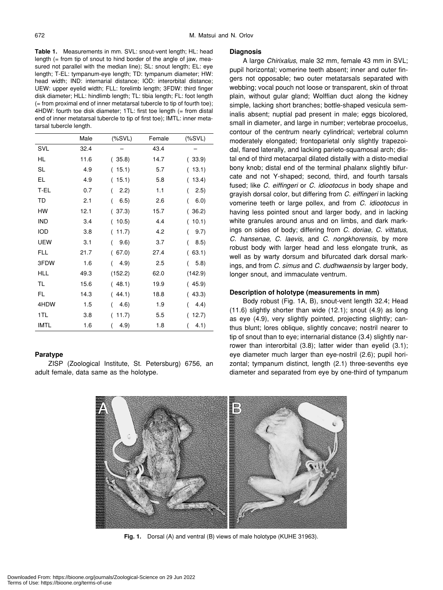**Table 1.** Measurements in mm. SVL: snout-vent length; HL: head length (= from tip of snout to hind border of the angle of jaw, measured not parallel with the median line); SL: snout length; EL: eye length; T-EL: tympanum-eye length; TD: tympanum diameter; HW: head width; IND: internarial distance; IOD: interorbital distance; UEW: upper eyelid width; FLL: forelimb length; 3FDW: third finger disk diameter; HLL: hindlimb length; TL: tibia length; FL: foot length (= from proximal end of inner metatarsal tubercle to tip of fourth toe); 4HDW: fourth toe disk diameter; 1TL: first toe length (= from distal end of inner metatarsal tubercle to tip of first toe); IMTL: inner metatarsal tubercle length.

|             | Male | (%X)                   | Female | $(%X,Y,Z^2)$              |
|-------------|------|------------------------|--------|---------------------------|
| SVL         | 32.4 |                        | 43.4   |                           |
| HL          | 11.6 | (35.8)                 | 14.7   | 33.9)<br>(                |
| SL          | 4.9  | 15.1)<br>(             | 5.7    | 13.1)<br>$\overline{(}$   |
| EL          | 4.9  | 15.1)<br>(             | 5.8    | 13.4)<br>(                |
| T-EL        | 0.7  | 2.2)<br>$\overline{(}$ | 1.1    | (2.5)<br>(                |
| TD          | 2.1  | (<br>6.5)              | 2.6    | 6.0)<br>(                 |
| HW          | 12.1 | (37.3)                 | 15.7   | $\overline{(\ }$<br>36.2) |
| <b>IND</b>  | 3.4  | 10.5)<br>(             | 4.4    | 10.1)<br>(                |
| IOD         | 3.8  | 11.7)<br>(             | 4.2    | 9.7)<br>(                 |
| <b>UEW</b>  | 3.1  | 9.6)<br>$\overline{(}$ | 3.7    | 8.5)<br>$\overline{(}$    |
| FLL         | 21.7 | 67.0                   | 27.4   | 63.1)<br>(                |
| 3FDW        | 1.6  | 4.9<br>$\overline{(}$  | 2.5    | 5.8)<br>(                 |
| <b>HLL</b>  | 49.3 | (152.2)                | 62.0   | (142.9)                   |
| TL          | 15.6 | (48.1)                 | 19.9   | (45.9)                    |
| FL          | 14.3 | (44.1)                 | 18.8   | 43.3)<br>(                |
| 4HDW        | 1.5  | 4.6)<br>(              | 1.9    | 4.4)<br>(                 |
| 1TL         | 3.8  | 11.7)<br>(             | 5.5    | 12.7)<br>(                |
| <b>IMTL</b> | 1.6  | (<br>4.9)              | 1.8    | (<br>4.1)                 |

# **Paratype**

ZISP (Zoological Institute, St. Petersburg) 6756, an adult female, data same as the holotype.

#### **Diagnosis**

A large *Chirixalus*, male 32 mm, female 43 mm in SVL; pupil horizontal; vomerine teeth absent; inner and outer fingers not opposable; two outer metatarsals separated with webbing; vocal pouch not loose or transparent, skin of throat plain, without gular gland; Wolffian duct along the kidney simple, lacking short branches; bottle-shaped vesicula seminalis absent; nuptial pad present in male; eggs bicolored, small in diameter, and large in number; vertebrae procoelus, contour of the centrum nearly cylindrical; vertebral column moderately elongated; frontoparietal only slightly trapezoidal, flared laterally, and lacking parieto-squamosal arch; distal end of third metacarpal dilated distally with a disto-medial bony knob; distal end of the terminal phalanx slightly bifurcate and not Y-shaped; second, third, and fourth tarsals fused; like *C. eiffingeri* or *C. idiootocus* in body shape and grayish dorsal color, but differing from *C. eiffingeri* in lacking vomerine teeth or large pollex, and from *C. idiootocus* in having less pointed snout and larger body, and in lacking white granules around anus and on limbs, and dark markings on sides of body; differing from *C. doriae, C. vittatus*, *C. hansenae*, *C. laevis*, and *C. nongkhorensis*, by more robust body with larger head and less elongate trunk, as well as by warty dorsum and bifurcated dark dorsal markings, and from *C. simus* and *C. dudhwaensis* by larger body, longer snout, and immaculate ventrum.

#### **Description of holotype (measurements in mm)**

Body robust (Fig. 1A, B), snout-vent length 32.4; Head (11.6) slightly shorter than wide (12.1); snout (4.9) as long as eye (4.9), very slightly pointed, projecting slightly; canthus blunt; lores oblique, slightly concave; nostril nearer to tip of snout than to eye; internarial distance (3.4) slightly narrower than interorbital (3.8); latter wider than eyelid (3.1); eye diameter much larger than eye-nostril (2.6); pupil horizontal; tympanum distinct, length (2.1) three-sevenths eye diameter and separated from eye by one-third of tympanum



**Fig. 1.** Dorsal (A) and ventral (B) views of male holotype (KUHE 31963).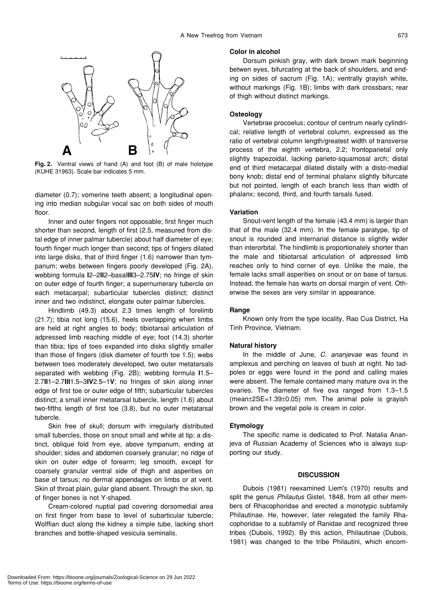

**Fig. 2.** Ventral views of hand (A) and foot (B) of male holotype (KUHE 31963). Scale bar indicates 5 mm.

diameter (0.7); vomerine teeth absent; a longitudinal opening into median subgular vocal sac on both sides of mouth floor.

Inner and outer fingers not opposable; first finger much shorter than second, length of first (2.5, measured from distal edge of inner palmar tubercle) about half diameter of eye; fourth finger much longer than second; tips of fingers dilated into large disks, that of third finger (1.6) narrower than tympanum; webs between fingers poorly developed (Fig. 2A), webbing formula **I**2–2**II**2–basal**III**3–2.75**IV**; no fringe of skin on outer edge of fourth finger; a supernumerary tubercle on each metacarpal; subarticular tubercles distinct; distinct inner and two indistinct, elongate outer palmar tubercles.

Hindlimb (49.3) about 2.3 times length of forelimb (21.7); tibia not long (15.6), heels overlapping when limbs are held at right angles to body; tibiotarsal articulation of adpressed limb reaching middle of eye; foot (14.3) shorter than tibia; tips of toes expanded into disks slightly smaller than those of fingers (disk diameter of fourth toe 1.5); webs between toes moderately developed, two outer metatarsals separated with webbing (Fig. 2B); webbing formula **I**1.5– 2.7**II**1–2.7**III**1.5–3**IV**2.5–1**V**; no fringes of skin along inner edge of first toe or outer edge of fifth; subarticular tubercles distinct; a small inner metatarsal tubercle, length (1.6) about two-fifths length of first toe (3.8), but no outer metatarsal tubercle.

Skin free of skull; dorsum with irregularly distributed small tubercles, those on snout small and white at tip; a distinct, oblique fold from eye, above tympanum, ending at shoulder; sides and abdomen coarsely granular; no ridge of skin on outer edge of forearm; leg smooth, except for coarsely granular ventral side of thigh and asperities on base of tarsus; no dermal appendages on limbs or at vent. Skin of throat plain, gular gland absent. Through the skin, tip of finger bones is not Y-shaped.

Cream-colored nuptial pad covering dorsomedial area on first finger from base to level of subarticular tubercle; Wolffian duct along the kidney a simple tube, lacking short branches and bottle-shaped vesicula seminalis.

#### **Color in alcohol**

Dorsum pinkish gray, with dark brown mark beginning betwen eyes, bifurcating at the back of shoulders, and ending on sides of sacrum (Fig. 1A); ventrally grayish white, without markings (Fig. 1B); limbs with dark crossbars; rear of thigh without distinct markings.

# **Osteology**

Vertebrae procoelus; contour of centrum nearly cylindrical; relative length of vertebral column, expressed as the ratio of vertebral column length/greatest width of transverse process of the eighth vertebra, 2.2; frontoparietal only slightly trapezoidal, lacking parieto-squamosal arch; distal end of third metacarpal dilated distally with a disto-medial bony knob; distal end of terminal phalanx slightly bifurcate but not pointed, length of each branch less than width of phalanx; second, third, and fourth tarsals fused.

## **Variation**

Snout-vent length of the female (43.4 mm) is larger than that of the male (32.4 mm). In the female paratype, tip of snout is rounded and internarial distance is slightly wider than interorbital. The hindlimb is proportionately shorter than the male and tibiotarsal articulation of adpressed limb reaches only to hind corner of eye. Unlike the male, the female lacks small asperities on snout or on base of tarsus. Instead, the female has warts on dorsal margin of vent. Otherwise the sexes are very similar in appearance.

#### **Range**

Known only from the type locality, Rao Cua District, Ha Tinh Province, Vietnam.

#### **Natural history**

In the middle of June, *C. ananjevae* was found in amplexus and perching on leaves of bush at night. No tadpoles or eggs were found in the pond and calling males were absent. The female contained many mature ova in the ovaries. The diameter of five ova ranged from 1.3–1.5  $(mean±2SE=1.39±0.05)$  mm. The animal pole is gravish brown and the vegetal pole is cream in color.

#### **Etymology**

The specific name is dedicated to Prof. Natalia Ananjeva of Russian Academy of Sciences who is always supporting our study.

#### **DISCUSSION**

Dubois (1981) reexamined Liem's (1970) results and split the genus *Philautus* Gistel, 1848, from all other members of Rhacophoridae and erected a monotypic subfamily Philautinae. He, however, later relegated the family Rhacophoridae to a subfamily of Ranidae and recognized three tribes (Dubois, 1992). By this action, Philautinae (Dubois, 1981) was changed to the tribe Philautini, which encom-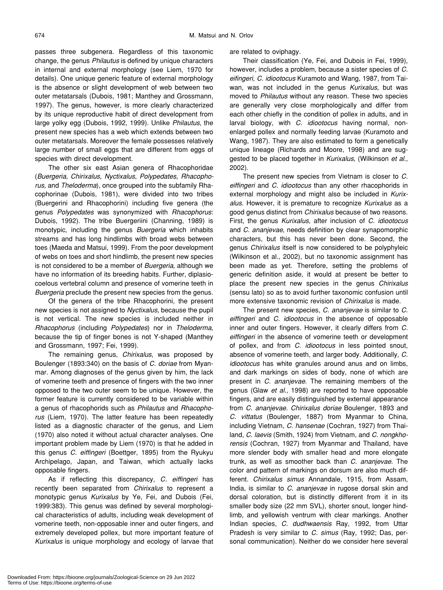passes three subgenera. Regardless of this taxonomic change, the genus *Philautus* is defined by unique characters in internal and external morphology (see Liem, 1970 for details). One unique generic feature of external morphology is the absence or slight development of web between two outer metatarsals (Dubois, 1981; Manthey and Grossmann, 1997). The genus, however, is more clearly characterized by its unique reproductive habit of direct development from large yolky egg (Dubois, 1992, 1999). Unlike *Philautus*, the present new species has a web which extends between two outer metatarsals. Moreover the female possesses relatively large number of small eggs that are different from eggs of species with direct development.

The other six east Asian genera of Rhacophoridae (*Buergeria, Chirixalus, Nyctixalus, Polypedates, Rhacophorus*, and *Theloderma*), once grouped into the subfamily Rhacophorinae (Dubois, 1981), were divided into two tribes (Buergerini and Rhacophorini) including five genera (the genus *Polypedates* was synonymized with *Rhacophorus*: Dubois, 1992). The tribe Buergeriini (Channing, 1989) is monotypic, including the genus *Buergeria* which inhabits streams and has long hindlimbs with broad webs between toes (Maeda and Matsui, 1999). From the poor development of webs on toes and short hindlimb, the present new species is not considered to be a member of *Buergeria*, although we have no information of its breeding habits. Further, diplasiocoelous vertebral column and presence of vomerine teeth in *Buergeria* preclude the present new species from the genus.

Of the genera of the tribe Rhacophorini, the present new species is not assigned to *Nyctixalus*, because the pupil is not vertical. The new species is included neither in *Rhacophorus* (including *Polypedates*) nor in *Theloderma*, because the tip of finger bones is not Y-shaped (Manthey and Grossmann, 1997; Fei, 1999).

The remaining genus, *Chirixalus*, was proposed by Boulenger (1893:340) on the basis of *C. doriae* from Myanmar. Among diagnoses of the genus given by him, the lack of vomerine teeth and presence of fingers with the two inner opposed to the two outer seem to be unique. However, the former feature is currently considered to be variable within a genus of rhacophorids such as *Philautus* and *Rhacophorus* (Liem, 1970). The latter feature has been repeatedly listed as a diagnostic character of the genus, and Liem (1970) also noted it without actual character analyses. One important problem made by Liem (1970) is that he added in this genus *C. eiffingeri* (Boettger, 1895) from the Ryukyu Archipelago, Japan, and Taiwan, which actually lacks opposable fingers.

As if reflecting this discrepancy, *C. eiffingeri* has recently been separated from *Chirixalus* to represent a monotypic genus *Kurixalus* by Ye, Fei, and Dubois (Fei, 1999:383). This genus was defined by several morphological characteristics of adults, including weak development of vomerine teeth, non-opposable inner and outer fingers, and extremely developed pollex, but more important feature of *Kurixalus* is unique morphology and ecology of larvae that are related to oviphagy.

Their classification (Ye, Fei, and Dubois in Fei, 1999), however, includes a problem, because a sister species of *C. eifingeri, C. idiootocus* Kuramoto and Wang, 1987, from Taiwan, was not included in the genus *Kurixalus*, but was moved to *Philautus* without any reason. These two species are generally very close morphologically and differ from each other chiefly in the condition of pollex in adults, and in larval biology, with *C. idiootocus* having normal, nonenlarged pollex and normally feeding larvae (Kuramoto and Wang, 1987). They are also estimated to form a genetically unique lineage (Richards and Moore, 1998) and are suggested to be placed together in *Kurixalus*, (Wilkinson *et al*., 2002).

The present new species from Vietnam is closer to *C. eiffingeri* and *C. idiootocus* than any other rhacophorids in external morphology and might also be included in *Kurixalus*. However, it is premature to recognize *Kurixalus* as a good genus distinct from *Chirixalus* because of two reasons. First, the genus *Kurixalus*, after inclusion of *C. idiootocus* and *C. ananjevae*, needs definition by clear synapomorphic characters, but this has never been done. Second, the genus *Chirixalus* itself is now considered to be polyphyleic (Wilkinson et al., 2002), but no taxonomic assignment has been made as yet. Therefore, setting the problems of generic definition aside, it would at present be better to place the present new species in the genus *Chirixalus* (sensu lato) so as to avoid further taxonomic confusion until more extensive taxonomic revision of *Chirixalus* is made.

The present new species, *C. ananjevae* is similar to *C. eiffingeri* and *C. idiootocus* in the absence of opposable inner and outer fingers. However, it clearly differs from *C. eiffingeri* in the absence of vomerine teeth or development of pollex, and from *C. idiootocus* in less pointed snout, absence of vomerine teeth, and larger body. Additionally, *C. idiootocus* has white granules around anus and on limbs, and dark markings on sides of body, none of which are present in *C. ananjevae*. The remaining members of the genus (Glaw *et al.*, 1998) are reported to have opposable fingers, and are easily distinguished by external appearance from *C. ananjevae. Chirixalus doriae* Boulenger, 1893 and *C. vittatus* (Boulenger, 1887) from Myanmar to China, including Vietnam, *C. hansenae* (Cochran, 1927) from Thailand, *C. laevis* (Smith, 1924) from Vietnam, and *C. nongkhorensis* (Cochran, 1927) from Myanmar and Thailand, have more slender body with smaller head and more elongate trunk, as well as smoother back than *C. ananjevae*. The color and pattern of markings on dorsum are also much different. *Chirixalus simus* Annandale, 1915, from Assam, India, is similar to *C. ananjevae* in rugose dorsal skin and dorsal coloration, but is distinctly different from it in its smaller body size (22 mm SVL), shorter snout, longer hindlimb, and yellowish ventrum with clear markings. Another Indian species, *C. dudhwaensis* Ray, 1992, from Uttar Pradesh is very similar to *C. simus* (Ray, 1992; Das, personal communication). Neither do we consider here several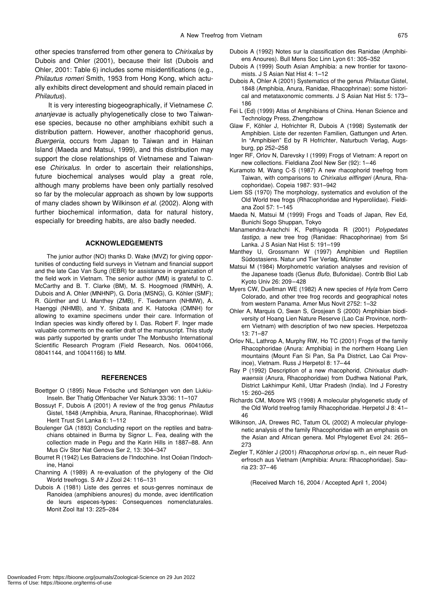other species transferred from other genera to *Chirixalus* by Dubois and Ohler (2001), because their list (Dubois and Ohler, 2001: Table 6) includes some misidentifications (e.g., *Philautus romeri* Smith, 1953 from Hong Kong, which actually exhibits direct development and should remain placed in *Philautus*).

It is very interesting biogeographically, if Vietnamese *C. ananjevae* is actually phylogenetically close to two Taiwanese species, because no other amphibians exhibit such a distribution pattern. However, another rhacophorid genus, *Buergeria*, occurs from Japan to Taiwan and in Hainan Island (Maeda and Matsui, 1999), and this distribution may support the close relationships of Vietnamese and Taiwanese *Chirixalus*. In order to ascertain their relationships, future biochemical analyses would play a great role, although many problems have been only partially resolved so far by the molecular approach as shown by low supports of many clades shown by Wilkinson *et al*. (2002). Along with further biochemical information, data for natural history, especially for breeding habits, are also badly needed.

#### **ACKNOWLEDGEMENTS**

The junior author (NO) thanks D. Wake (MVZ) for giving opportunities of conducting field surveys in Vietnam and financial support and the late Cao Van Sung (IEBR) for assistance in organization of the field work in Vietnam. The senior author (MM) is grateful to C. McCarthy and B. T. Clarke (BM), M. S. Hoogmoed (RMNH), A. Dubois and A. Ohler (MNHNP), G. Doria (MSNG), G. Köhler (SMF); R. Günther and U. Manthey (ZMB), F. Tiedemann (NHMW), A. Haenggi (NHMB), and Y. Shibata and K. Hatooka (OMNH) for allowing to examine specimens under their care. Information of Indian species was kindly offered by I. Das. Robert F. Inger made valuable comments on the earlier draft of the manuscript. This study was partly supported by grants under The Monbusho International Scientific Research Program (Field Research, Nos. 06041066, 08041144, and 10041166) to MM.

#### **REFERENCES**

- Boettger O (1895) Neue Frösche und Schlangen von den Liukiu-Inseln. Ber Thatig Offenbacher Ver Naturk 33/36: 11–107
- Bossuyt F, Dubois A (2001) A review of the frog genus *Philautus* Gistel, 1848 (Amphibia, Anura, Raninae, Rhacophorinae). Wildl Herit Trust Sri Lanka 6: 1–112
- Boulenger GA (1893) Concluding report on the reptiles and batrachians obtained in Burma by Signor L. Fea, dealing with the collection made in Pegu and the Karin Hills in 1887–88. Ann Mus Civ Stor Nat Genova Ser 2, 13: 304–347
- Bourret R (1942) Les Batraciens de l'Indochine. Inst Océan l'Indochine, Hanoi
- Channing A (1989) A re-evaluation of the phylogeny of the Old World treefrogs. S Afr J Zool 24: 116–131
- Dubois A (1981) Liste des genres et sous-genres nominaux de Ranoidea (amphibiens anoures) du monde, avec identification de leurs especes-types: Consequences nomenclaturales. Monit Zool Ital 13: 225–284

Terms of Use: https://bioone.org/terms-of-use

- Dubois A (1992) Notes sur la classification des Ranidae (Amphibiens Anoures). Bull Mens Soc Linn Lyon 61: 305–352
- Dubois A (1999) South Asian Amphibia: a new frontier for taxonomists. J S Asian Nat Hist 4: 1–12
- Dubois A, Ohler A (2001) Systematics of the genus *Philautus* Gistel, 1848 (Amphibia, Anura, Ranidae, Rhacophrinae): some historical and metataxonomic comments. J S Asian Nat Hist 5: 173– 186
- Fei L (Ed) (1999) Atlas of Amphibians of China. Henan Science and Technology Press, Zhengzhow
- Glaw F, Köhler J, Hofrichter R, Dubois A (1998) Systematik der Amphibien. Liste der rezenten Familien, Gattungen und Arten. In "Amphibien" Ed by R Hofrichter, Naturbuch Verlag, Augsburg, pp 252–258
- Inger RF, Orlov N, Darevsky I (1999) Frogs of Vietnam: A report on new collections. Fieldiana Zool New Ser (92): 1–46
- Kuramoto M, Wang C-S (1987) A new rhacophorid treefrog from Taiwan, with comparisons to *Chirixalus eiffingeri* (Anura, Rhacophoridae). Copeia 1987: 931–942
- Liem SS (1970) The morphology, systematics and evolution of the Old World tree frogs (Rhacophoridae and Hyperoliidae). Fieldiana Zool 57: 1–145
- Maeda N, Matsui M (1999) Frogs and Toads of Japan, Rev Ed, Bunichi Sogo Shuppan, Tokyo
- Manamendra-Arachchi K, Pethiyagoda R (2001) *Polypedates fastigo*, a new tree frog (Ranidae: Rhacophorinae) from Sri Lanka. J S Asian Nat Hist 5: 191–199
- Manthey U, Grossmann W (1997) Amphibien und Reptilien Südostasiens. Natur und Tier Verlag, Münster
- Matsui M (1984) Morphometric variation analyses and revision of the Japanese toads (Genus *Bufo*, Bufonidae). Contrib Biol Lab Kyoto Univ 26: 209–428
- Myers CW, Duellman WE (1982) A new species of *Hyla* from Cerro Colorado, and other tree frog records and geographical notes from western Panama. Amer Mus Novit 2752: 1–32
- Ohler A, Marquis O, Swan S, Grosjean S (2000) Amphibian biodiversity of Hoang Lien Nature Reserve (Lao Cai Province, northern Vietnam) with description of two new species. Herpetozoa 13: 71–87
- Orlov NL, Lathrop A, Murphy RW, Ho TC (2001) Frogs of the family Rhacophoridae (Anura: Amphibia) in the northern Hoang Lien mountains (Mount Fan Si Pan, Sa Pa District, Lao Cai Province), Vietnam. Russ J Herpetol 8: 17–44
- Ray P (1992) Description of a new rhacophorid, *Chirixalus dudhwaensis* (Anura, Rhacophoridae) from Dudhwa National Park, District Lakhimpur Kehli, Uttar Pradesh (India). Ind J Forestry 15: 260–265
- Richards CM, Moore WS (1998) A molecular phylogenetic study of the Old World treefrog family Rhacophoridae. Herpetol J 8: 41– 46
- Wilkinson, JA, Drewes RC, Tatum OL (2002) A molecular phylogenetic analysis of the family Rhacophoridae with an emphasis on the Asian and African genera. Mol Phylogenet Evol 24: 265– 273
- Ziegler T, Köhler J (2001) *Rhacophorus orlovi* sp. n., ein neuer Ruderfrosch aus Vietnam (Amphibia: Anura: Rhacophoridae). Sauria 23: 37–46

(Received March 16, 2004 / Accepted April 1, 2004)